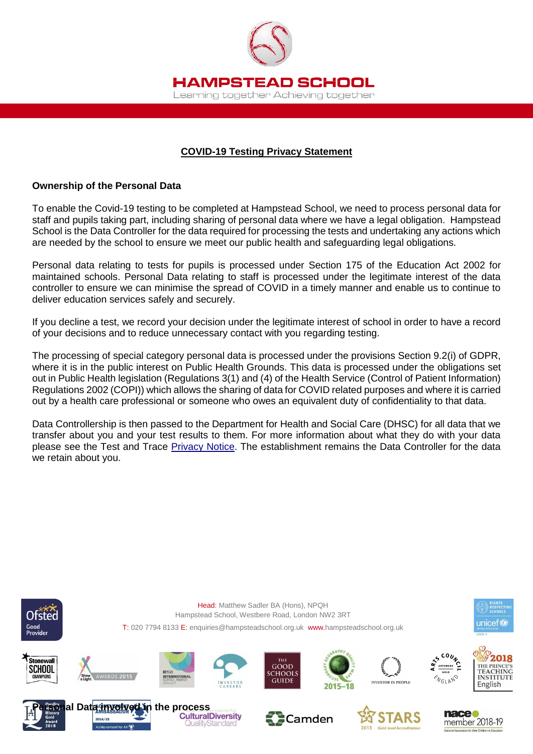

# **COVID-19 Testing Privacy Statement**

#### **Ownership of the Personal Data**

To enable the Covid-19 testing to be completed at Hampstead School, we need to process personal data for staff and pupils taking part, including sharing of personal data where we have a legal obligation. Hampstead School is the Data Controller for the data required for processing the tests and undertaking any actions which are needed by the school to ensure we meet our public health and safeguarding legal obligations.

Personal data relating to tests for pupils is processed under Section 175 of the Education Act 2002 for maintained schools. Personal Data relating to staff is processed under the legitimate interest of the data controller to ensure we can minimise the spread of COVID in a timely manner and enable us to continue to deliver education services safely and securely.

If you decline a test, we record your decision under the legitimate interest of school in order to have a record of your decisions and to reduce unnecessary contact with you regarding testing.

The processing of special category personal data is processed under the provisions Section 9.2(i) of GDPR, where it is in the public interest on Public Health Grounds. This data is processed under the obligations set out in Public Health legislation (Regulations 3(1) and (4) of the Health Service (Control of Patient Information) Regulations 2002 (COPI)) which allows the sharing of data for COVID related purposes and where it is carried out by a health care professional or someone who owes an equivalent duty of confidentiality to that data.

Data Controllership is then passed to the Department for Health and Social Care (DHSC) for all data that we transfer about you and your test results to them. For more information about what they do with your data please see the Test and Trace [Privacy Notice.](https://contact-tracing.phe.gov.uk/help/privacy-notice) The establishment remains the Data Controller for the data we retain about you.

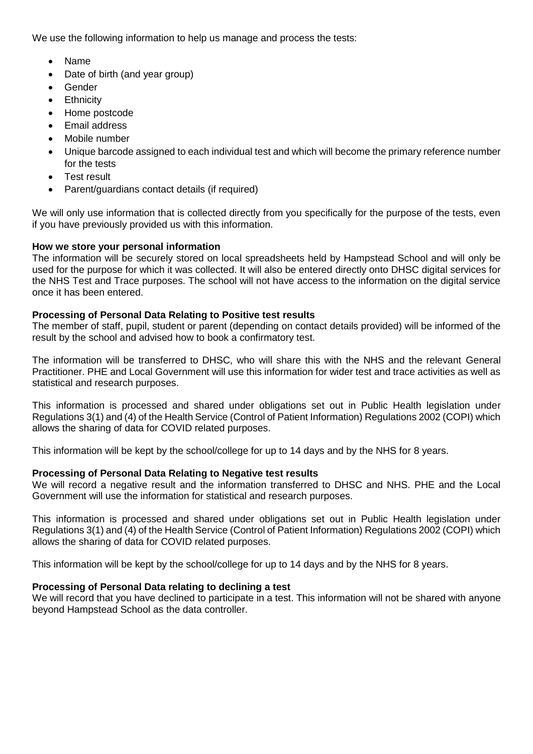We use the following information to help us manage and process the tests:

- Name
- Date of birth (and year group)
- Gender
- Ethnicity
- Home postcode
- Email address
- Mobile number
- Unique barcode assigned to each individual test and which will become the primary reference number for the tests
- Test result
- Parent/guardians contact details (if required)

We will only use information that is collected directly from you specifically for the purpose of the tests, even if you have previously provided us with this information.

## **How we store your personal information**

The information will be securely stored on local spreadsheets held by Hampstead School and will only be used for the purpose for which it was collected. It will also be entered directly onto DHSC digital services for the NHS Test and Trace purposes. The school will not have access to the information on the digital service once it has been entered.

#### **Processing of Personal Data Relating to Positive test results**

The member of staff, pupil, student or parent (depending on contact details provided) will be informed of the result by the school and advised how to book a confirmatory test.

The information will be transferred to DHSC, who will share this with the NHS and the relevant General Practitioner. PHE and Local Government will use this information for wider test and trace activities as well as statistical and research purposes.

This information is processed and shared under obligations set out in Public Health legislation under Regulations 3(1) and (4) of the Health Service (Control of Patient Information) Regulations 2002 (COPI) which allows the sharing of data for COVID related purposes.

This information will be kept by the school/college for up to 14 days and by the NHS for 8 years.

## **Processing of Personal Data Relating to Negative test results**

We will record a negative result and the information transferred to DHSC and NHS. PHE and the Local Government will use the information for statistical and research purposes.

This information is processed and shared under obligations set out in Public Health legislation under Regulations 3(1) and (4) of the Health Service (Control of Patient Information) Regulations 2002 (COPI) which allows the sharing of data for COVID related purposes.

This information will be kept by the school/college for up to 14 days and by the NHS for 8 years.

## **Processing of Personal Data relating to declining a test**

We will record that you have declined to participate in a test. This information will not be shared with anyone beyond Hampstead School as the data controller.